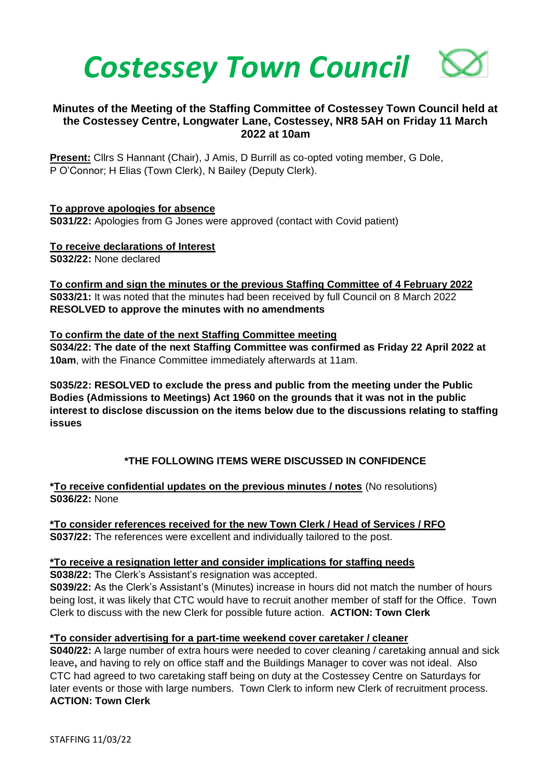

# **Minutes of the Meeting of the Staffing Committee of Costessey Town Council held at the Costessey Centre, Longwater Lane, Costessey, NR8 5AH on Friday 11 March 2022 at 10am**

**Present:** Cllrs S Hannant (Chair), J Amis, D Burrill as co-opted voting member, G Dole, P O'Connor; H Elias (Town Clerk), N Bailey (Deputy Clerk).

**To approve apologies for absence S031/22:** Apologies from G Jones were approved (contact with Covid patient)

**To receive declarations of Interest S032/22:** None declared

**To confirm and sign the minutes or the previous Staffing Committee of 4 February 2022 S033/21:** It was noted that the minutes had been received by full Council on 8 March 2022 **RESOLVED to approve the minutes with no amendments**

## **To confirm the date of the next Staffing Committee meeting**

**S034/22: The date of the next Staffing Committee was confirmed as Friday 22 April 2022 at 10am**, with the Finance Committee immediately afterwards at 11am.

**S035/22: RESOLVED to exclude the press and public from the meeting under the Public Bodies (Admissions to Meetings) Act 1960 on the grounds that it was not in the public interest to disclose discussion on the items below due to the discussions relating to staffing issues**

# **\*THE FOLLOWING ITEMS WERE DISCUSSED IN CONFIDENCE**

**\*To receive confidential updates on the previous minutes / notes** (No resolutions) **S036/22:** None

**\*To consider references received for the new Town Clerk / Head of Services / RFO S037/22:** The references were excellent and individually tailored to the post.

## **\*To receive a resignation letter and consider implications for staffing needs**

**S038/22:** The Clerk's Assistant's resignation was accepted.

**S039/22:** As the Clerk's Assistant's (Minutes) increase in hours did not match the number of hours being lost, it was likely that CTC would have to recruit another member of staff for the Office. Town Clerk to discuss with the new Clerk for possible future action. **ACTION: Town Clerk**

## **\*To consider advertising for a part-time weekend cover caretaker / cleaner**

**S040/22:** A large number of extra hours were needed to cover cleaning / caretaking annual and sick leave**,** and having to rely on office staff and the Buildings Manager to cover was not ideal. Also CTC had agreed to two caretaking staff being on duty at the Costessey Centre on Saturdays for later events or those with large numbers. Town Clerk to inform new Clerk of recruitment process. **ACTION: Town Clerk**